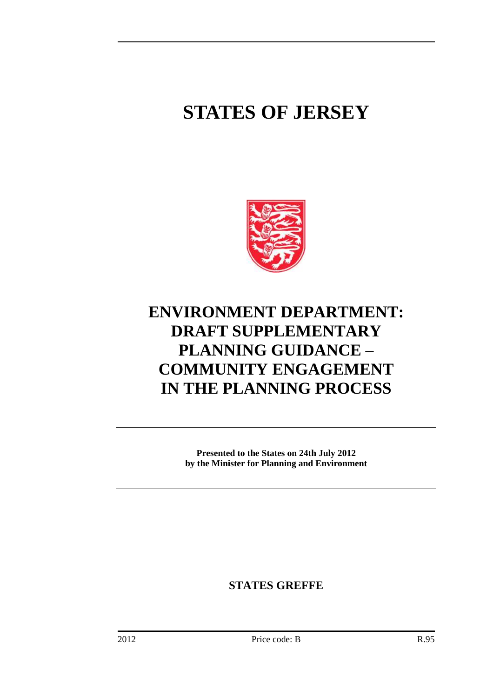# **STATES OF JERSEY**



# **ENVIRONMENT DEPARTMENT: DRAFT SUPPLEMENTARY PLANNING GUIDANCE – COMMUNITY ENGAGEMENT IN THE PLANNING PROCESS**

**Presented to the States on 24th July 2012 by the Minister for Planning and Environment** 

**STATES GREFFE**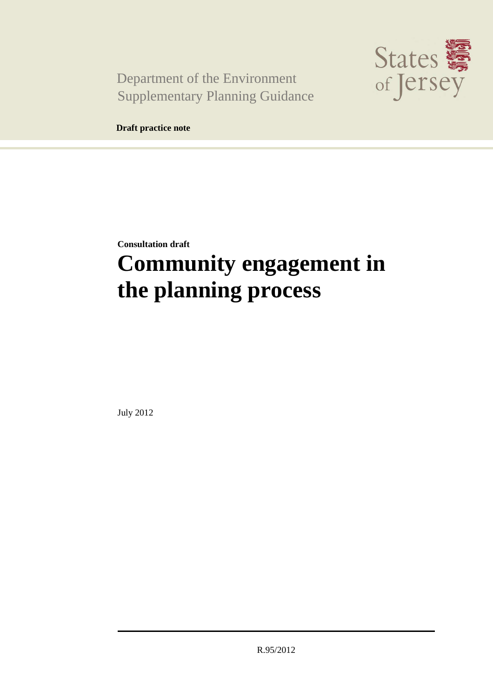Department of the Environment Supplementary Planning Guidance



**Draft practice note** 

**Consultation draft** 

# **Community engagement in the planning process**

July 2012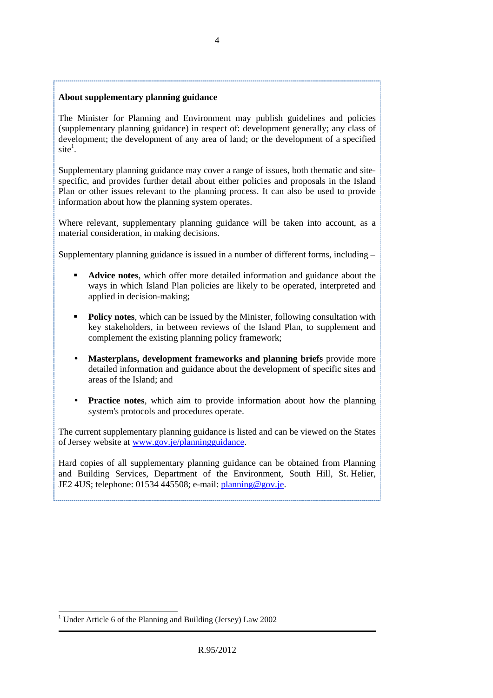#### **About supplementary planning guidance**

The Minister for Planning and Environment may publish guidelines and policies (supplementary planning guidance) in respect of: development generally; any class of development; the development of any area of land; or the development of a specified  $site<sup>1</sup>$ .

Supplementary planning guidance may cover a range of issues, both thematic and sitespecific, and provides further detail about either policies and proposals in the Island Plan or other issues relevant to the planning process. It can also be used to provide information about how the planning system operates.

Where relevant, supplementary planning guidance will be taken into account, as a material consideration, in making decisions.

Supplementary planning guidance is issued in a number of different forms, including –

- **Advice notes**, which offer more detailed information and guidance about the ways in which Island Plan policies are likely to be operated, interpreted and applied in decision-making;
- **Policy notes**, which can be issued by the Minister, following consultation with key stakeholders, in between reviews of the Island Plan, to supplement and complement the existing planning policy framework;
- **Masterplans, development frameworks and planning briefs** provide more detailed information and guidance about the development of specific sites and areas of the Island; and
- **Practice notes**, which aim to provide information about how the planning system's protocols and procedures operate.

The current supplementary planning guidance is listed and can be viewed on the States of Jersey website at www.gov.je/planningguidance.

Hard copies of all supplementary planning guidance can be obtained from Planning and Building Services, Department of the Environment, South Hill, St. Helier, JE2 4US; telephone: 01534 445508; e-mail: planning@gov.je.

 $\overline{a}$ 1 Under Article 6 of the Planning and Building (Jersey) Law 2002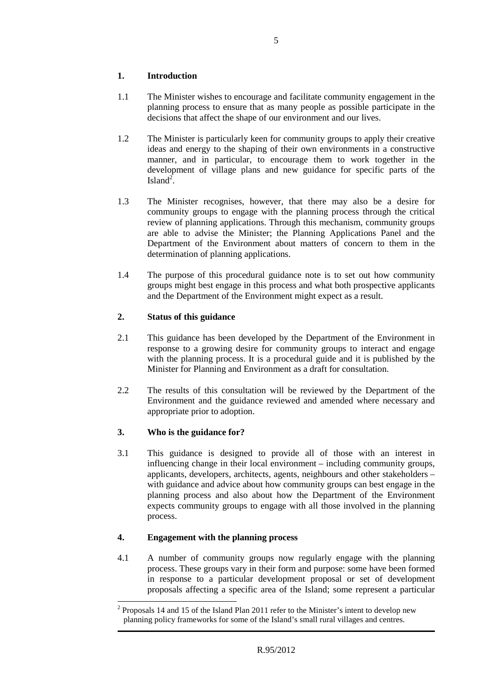# **1. Introduction**

- 1.1 The Minister wishes to encourage and facilitate community engagement in the planning process to ensure that as many people as possible participate in the decisions that affect the shape of our environment and our lives.
- 1.2 The Minister is particularly keen for community groups to apply their creative ideas and energy to the shaping of their own environments in a constructive manner, and in particular, to encourage them to work together in the development of village plans and new guidance for specific parts of the Island<sup>2</sup>.
- 1.3 The Minister recognises, however, that there may also be a desire for community groups to engage with the planning process through the critical review of planning applications. Through this mechanism, community groups are able to advise the Minister; the Planning Applications Panel and the Department of the Environment about matters of concern to them in the determination of planning applications.
- 1.4 The purpose of this procedural guidance note is to set out how community groups might best engage in this process and what both prospective applicants and the Department of the Environment might expect as a result.

# **2. Status of this guidance**

- 2.1 This guidance has been developed by the Department of the Environment in response to a growing desire for community groups to interact and engage with the planning process. It is a procedural guide and it is published by the Minister for Planning and Environment as a draft for consultation.
- 2.2 The results of this consultation will be reviewed by the Department of the Environment and the guidance reviewed and amended where necessary and appropriate prior to adoption.

# **3. Who is the guidance for?**

3.1 This guidance is designed to provide all of those with an interest in influencing change in their local environment – including community groups, applicants, developers, architects, agents, neighbours and other stakeholders – with guidance and advice about how community groups can best engage in the planning process and also about how the Department of the Environment expects community groups to engage with all those involved in the planning process.

## **4. Engagement with the planning process**

4.1 A number of community groups now regularly engage with the planning process. These groups vary in their form and purpose: some have been formed in response to a particular development proposal or set of development proposals affecting a specific area of the Island; some represent a particular

 $\overline{a}$ <sup>2</sup> Proposals 14 and 15 of the Island Plan 2011 refer to the Minister's intent to develop new planning policy frameworks for some of the Island's small rural villages and centres.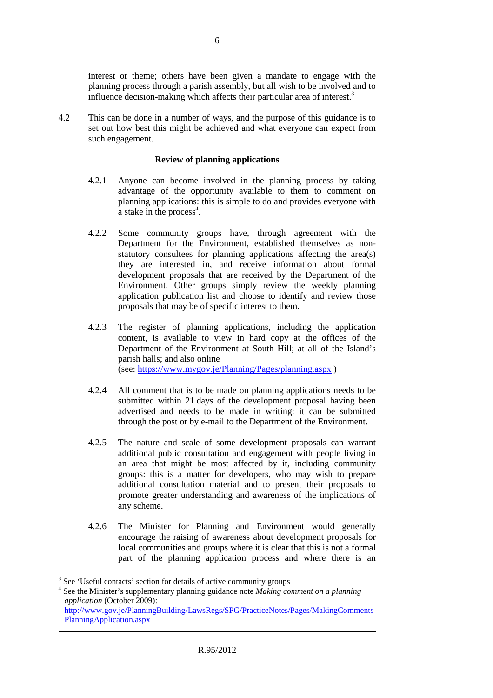interest or theme; others have been given a mandate to engage with the planning process through a parish assembly, but all wish to be involved and to influence decision-making which affects their particular area of interest.<sup>3</sup>

4.2 This can be done in a number of ways, and the purpose of this guidance is to set out how best this might be achieved and what everyone can expect from such engagement.

#### **Review of planning applications**

- 4.2.1 Anyone can become involved in the planning process by taking advantage of the opportunity available to them to comment on planning applications: this is simple to do and provides everyone with  $\alpha$  stake in the process<sup>4</sup>.
- 4.2.2 Some community groups have, through agreement with the Department for the Environment, established themselves as nonstatutory consultees for planning applications affecting the area(s) they are interested in, and receive information about formal development proposals that are received by the Department of the Environment. Other groups simply review the weekly planning application publication list and choose to identify and review those proposals that may be of specific interest to them.
- 4.2.3 The register of planning applications, including the application content, is available to view in hard copy at the offices of the Department of the Environment at South Hill; at all of the Island's parish halls; and also online (see: https://www.mygov.je/Planning/Pages/planning.aspx )
- 4.2.4 All comment that is to be made on planning applications needs to be submitted within 21 days of the development proposal having been advertised and needs to be made in writing: it can be submitted through the post or by e-mail to the Department of the Environment.
- 4.2.5 The nature and scale of some development proposals can warrant additional public consultation and engagement with people living in an area that might be most affected by it, including community groups: this is a matter for developers, who may wish to prepare additional consultation material and to present their proposals to promote greater understanding and awareness of the implications of any scheme.
- 4.2.6 The Minister for Planning and Environment would generally encourage the raising of awareness about development proposals for local communities and groups where it is clear that this is not a formal part of the planning application process and where there is an

<sup>&</sup>lt;sup>3</sup> See 'Useful contacts' section for details of active community groups

<sup>4</sup> See the Minister's supplementary planning guidance note *Making comment on a planning application* (October 2009):

http://www.gov.je/PlanningBuilding/LawsRegs/SPG/PracticeNotes/Pages/MakingComments PlanningApplication.aspx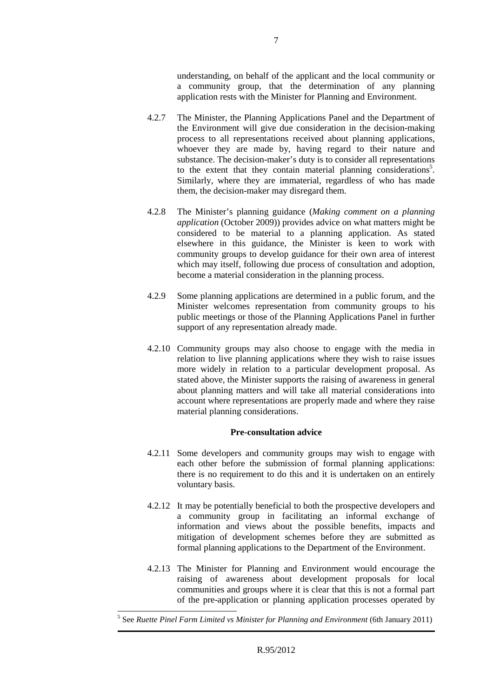understanding, on behalf of the applicant and the local community or a community group, that the determination of any planning application rests with the Minister for Planning and Environment.

- 4.2.7 The Minister, the Planning Applications Panel and the Department of the Environment will give due consideration in the decision-making process to all representations received about planning applications, whoever they are made by, having regard to their nature and substance. The decision-maker's duty is to consider all representations to the extent that they contain material planning considerations<sup>5</sup>. Similarly, where they are immaterial, regardless of who has made them, the decision-maker may disregard them.
- 4.2.8 The Minister's planning guidance (*Making comment on a planning application* (October 2009)) provides advice on what matters might be considered to be material to a planning application. As stated elsewhere in this guidance, the Minister is keen to work with community groups to develop guidance for their own area of interest which may itself, following due process of consultation and adoption, become a material consideration in the planning process.
- 4.2.9 Some planning applications are determined in a public forum, and the Minister welcomes representation from community groups to his public meetings or those of the Planning Applications Panel in further support of any representation already made.
- 4.2.10 Community groups may also choose to engage with the media in relation to live planning applications where they wish to raise issues more widely in relation to a particular development proposal. As stated above, the Minister supports the raising of awareness in general about planning matters and will take all material considerations into account where representations are properly made and where they raise material planning considerations.

## **Pre-consultation advice**

- 4.2.11 Some developers and community groups may wish to engage with each other before the submission of formal planning applications: there is no requirement to do this and it is undertaken on an entirely voluntary basis.
- 4.2.12 It may be potentially beneficial to both the prospective developers and a community group in facilitating an informal exchange of information and views about the possible benefits, impacts and mitigation of development schemes before they are submitted as formal planning applications to the Department of the Environment.
- 4.2.13 The Minister for Planning and Environment would encourage the raising of awareness about development proposals for local communities and groups where it is clear that this is not a formal part of the pre-application or planning application processes operated by

 $\overline{a}$ 5 See *Ruette Pinel Farm Limited vs Minister for Planning and Environment* (6th January 2011)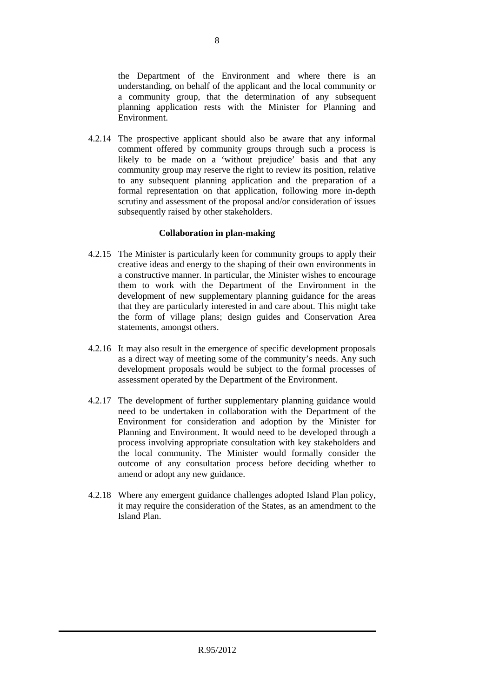the Department of the Environment and where there is an understanding, on behalf of the applicant and the local community or a community group, that the determination of any subsequent planning application rests with the Minister for Planning and Environment.

4.2.14 The prospective applicant should also be aware that any informal comment offered by community groups through such a process is likely to be made on a 'without prejudice' basis and that any community group may reserve the right to review its position, relative to any subsequent planning application and the preparation of a formal representation on that application, following more in-depth scrutiny and assessment of the proposal and/or consideration of issues subsequently raised by other stakeholders.

## **Collaboration in plan-making**

- 4.2.15 The Minister is particularly keen for community groups to apply their creative ideas and energy to the shaping of their own environments in a constructive manner. In particular, the Minister wishes to encourage them to work with the Department of the Environment in the development of new supplementary planning guidance for the areas that they are particularly interested in and care about. This might take the form of village plans; design guides and Conservation Area statements, amongst others.
- 4.2.16 It may also result in the emergence of specific development proposals as a direct way of meeting some of the community's needs. Any such development proposals would be subject to the formal processes of assessment operated by the Department of the Environment.
- 4.2.17 The development of further supplementary planning guidance would need to be undertaken in collaboration with the Department of the Environment for consideration and adoption by the Minister for Planning and Environment. It would need to be developed through a process involving appropriate consultation with key stakeholders and the local community. The Minister would formally consider the outcome of any consultation process before deciding whether to amend or adopt any new guidance.
- 4.2.18 Where any emergent guidance challenges adopted Island Plan policy, it may require the consideration of the States, as an amendment to the Island Plan.